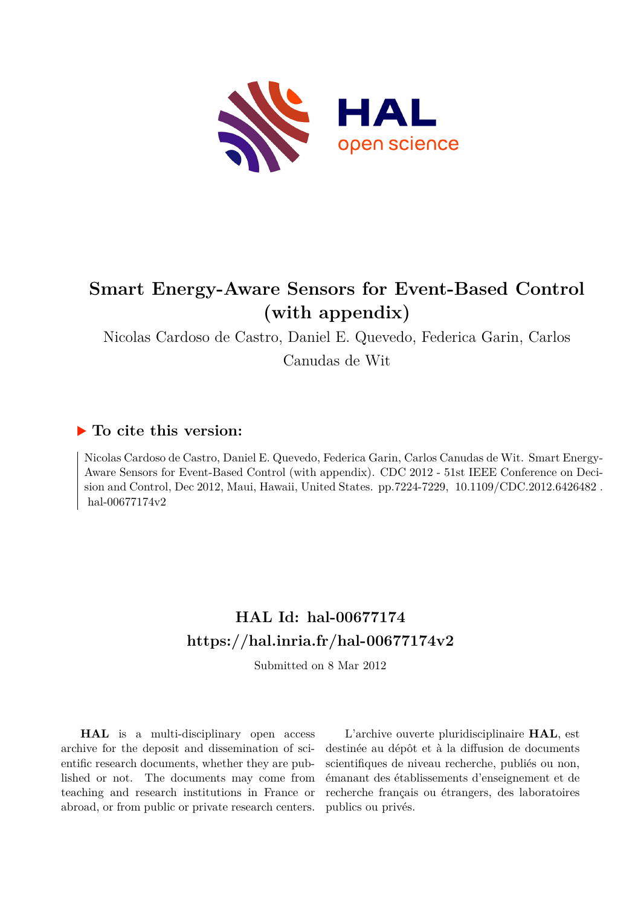

# **Smart Energy-Aware Sensors for Event-Based Control (with appendix)**

Nicolas Cardoso de Castro, Daniel E. Quevedo, Federica Garin, Carlos Canudas de Wit

### **To cite this version:**

Nicolas Cardoso de Castro, Daniel E. Quevedo, Federica Garin, Carlos Canudas de Wit. Smart Energy-Aware Sensors for Event-Based Control (with appendix). CDC 2012 - 51st IEEE Conference on Decision and Control, Dec 2012, Maui, Hawaii, United States. pp.7224-7229, 10.1109/CDC.2012.6426482. hal-00677174v2

## **HAL Id: hal-00677174 <https://hal.inria.fr/hal-00677174v2>**

Submitted on 8 Mar 2012

**HAL** is a multi-disciplinary open access archive for the deposit and dissemination of scientific research documents, whether they are published or not. The documents may come from teaching and research institutions in France or abroad, or from public or private research centers.

L'archive ouverte pluridisciplinaire **HAL**, est destinée au dépôt et à la diffusion de documents scientifiques de niveau recherche, publiés ou non, émanant des établissements d'enseignement et de recherche français ou étrangers, des laboratoires publics ou privés.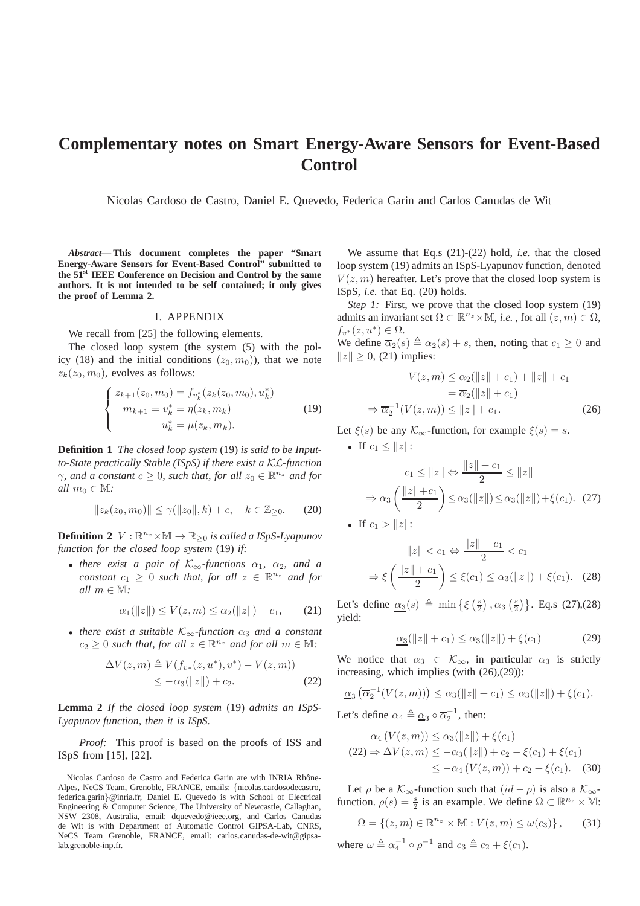### **Complementary notes on Smart Energy-Aware Sensors for Event-Based Control**

Nicolas Cardoso de Castro, Daniel E. Quevedo, Federica Garin and Carlos Canudas de Wit

*Abstract***— This document completes the paper "Smart Energy-Aware Sensors for Event-Based Control" submitted to the 51st IEEE Conference on Decision and Control by the same authors. It is not intended to be self contained; it only gives the proof of Lemma 2.**

#### I. APPENDIX

We recall from [25] the following elements.

The closed loop system (the system (5) with the policy (18) and the initial conditions  $(z_0, m_0)$ , that we note  $z_k(z_0, m_0)$ , evolves as follows:

$$
\begin{cases}\nz_{k+1}(z_0, m_0) = f_{v_k^*}(z_k(z_0, m_0), u_k^*) \\
m_{k+1} = v_k^* = \eta(z_k, m_k) \\
u_k^* = \mu(z_k, m_k).\n\end{cases}
$$
\n(19)

**Definition 1** *The closed loop system* (19) *is said to be Inputto-State practically Stable (ISpS) if there exist a* KL*-function*  $\gamma$ *, and a constant*  $c \geq 0$ *, such that, for all*  $z_0 \in \mathbb{R}^{n_z}$  *and for all*  $m_0 \in M$ *:* 

$$
||z_k(z_0, m_0)|| \le \gamma(||z_0||, k) + c, \quad k \in \mathbb{Z}_{\ge 0}.
$$
 (20)

**Definition 2**  $V : \mathbb{R}^{n_z} \times \mathbb{M} \to \mathbb{R}_{\geq 0}$  *is called a ISpS-Lyapunov function for the closed loop system* (19) *if:*

• *there exist a pair of*  $K_{\infty}$ *-functions*  $\alpha_1$ ,  $\alpha_2$ *, and a constant*  $c_1 \geq 0$  *such that, for all*  $z \in \mathbb{R}^{n_z}$  *and for all* m ∈ M*:*

$$
\alpha_1(\|z\|) \le V(z, m) \le \alpha_2(\|z\|) + c_1,\qquad(21)
$$

• *there exist a suitable*  $K_{\infty}$ -function  $\alpha_3$  *and a constant*  $c_2 \geq 0$  *such that, for all*  $z \in \mathbb{R}^{n_z}$  *and for all*  $m \in \mathbb{M}$ *:* 

$$
\Delta V(z,m) \triangleq V(f_{v*}(z,u^*),v^*) - V(z,m))
$$
  
\n
$$
\leq -\alpha_3(||z||) + c_2.
$$
 (22)

**Lemma 2** *If the closed loop system* (19) *admits an ISpS-Lyapunov function, then it is ISpS.*

*Proof:* This proof is based on the proofs of ISS and ISpS from [15], [22].

Nicolas Cardoso de Castro and Federica Garin are with INRIA Rhône-Alpes, NeCS Team, Grenoble, FRANCE, emails: {nicolas.cardosodecastro, federica.garin}@inria.fr, Daniel E. Quevedo is with School of Electrical Engineering & Computer Science, The University of Newcastle, Callaghan, NSW 2308, Australia, email: dquevedo@ieee.org, and Carlos Canudas de Wit is with Department of Automatic Control GIPSA-Lab, CNRS, NeCS Team Grenoble, FRANCE, email: carlos.canudas-de-wit@gipsalab.grenoble-inp.fr.

We assume that Eq.s (21)-(22) hold, *i.e.* that the closed loop system (19) admits an ISpS-Lyapunov function, denoted  $V(z, m)$  hereafter. Let's prove that the closed loop system is ISpS, *i.e.* that Eq. (20) holds.

*Step 1:* First, we prove that the closed loop system (19) admits an invariant set  $\Omega \subset \mathbb{R}^{n_z} \times \mathbb{M}$ , *i.e.*, for all  $(z, m) \in \Omega$ ,  $f_{v^*}(z, u^*) \in \Omega$ .

We define  $\overline{\alpha_2}(s) \triangleq \alpha_2(s) + s$ , then, noting that  $c_1 \geq 0$  and  $||z|| \ge 0$ , (21) implies:

$$
V(z,m) \le \alpha_2(\|z\| + c_1) + \|z\| + c_1
$$

$$
= \overline{\alpha}_2(\|z\| + c_1)
$$

$$
\Rightarrow \overline{\alpha}_2^{-1}(V(z,m)) \le \|z\| + c_1.
$$
 (26)

Let  $\xi(s)$  be any  $\mathcal{K}_{\infty}$ -function, for example  $\xi(s) = s$ .

• If 
$$
c_1 \le ||z||
$$
:  
\n
$$
c_1 \le ||z|| \Leftrightarrow \frac{||z|| + c_1}{2} \le ||z||
$$
\n
$$
\Rightarrow \alpha_3 \left( \frac{||z|| + c_1}{2} \right) \le \alpha_3 (||z||) \le \alpha_3 (||z||) + \xi(c_1). \tag{27}
$$
\n• If  $c_1 > ||z||$ :

$$
||z|| < c_1 \Leftrightarrow \frac{||z|| + c_1}{2} < c_1
$$
  

$$
\Rightarrow \xi \left(\frac{||z|| + c_1}{2}\right) \le \xi(c_1) \le \alpha_3(||z||) + \xi(c_1). \quad (28)
$$

Let's define  $\alpha_3(s) \triangleq \min\left\{ \xi\left(\frac{s}{2}\right) \right\}$  $\frac{s}{2}$ ),  $\alpha_3$   $\left(\frac{s}{2}\right)$  $\binom{s}{2}$ . Eq.s (27),(28) yield:

$$
\alpha_3(\|z\| + c_1) \le \alpha_3(\|z\|) + \xi(c_1) \tag{29}
$$

We notice that  $\alpha_3 \in \mathcal{K}_{\infty}$ , in particular  $\alpha_3$  is strictly increasing, which implies (with (26),(29)):

$$
\underline{\alpha}_3(\overline{\alpha}_2^{-1}(V(z,m))) \le \alpha_3(||z|| + c_1) \le \alpha_3(||z||) + \xi(c_1).
$$

Let's define  $\alpha_4 \triangleq \underline{\alpha_3} \circ \overline{\alpha_2}^{-1}$ , then:

$$
\alpha_4(V(z,m)) \le \alpha_3(||z||) + \xi(c_1)
$$
  
(22)  $\Rightarrow \Delta V(z,m) \le -\alpha_3(||z||) + c_2 - \xi(c_1) + \xi(c_1)$   
 $\le -\alpha_4(V(z,m)) + c_2 + \xi(c_1).$  (30)

Let  $\rho$  be a  $\mathcal{K}_{\infty}$ -function such that  $(id - \rho)$  is also a  $\mathcal{K}_{\infty}$ function.  $\rho(s) = \frac{s}{2}$  is an example. We define  $\Omega \subset \mathbb{R}^{n_z} \times \mathbb{M}$ :

$$
\Omega = \{(z, m) \in \mathbb{R}^{n_z} \times \mathbb{M} : V(z, m) \le \omega(c_3) \},\qquad(31)
$$

where  $\omega \triangleq \alpha_4^{-1} \circ \rho^{-1}$  and  $c_3 \triangleq c_2 + \xi(c_1)$ .